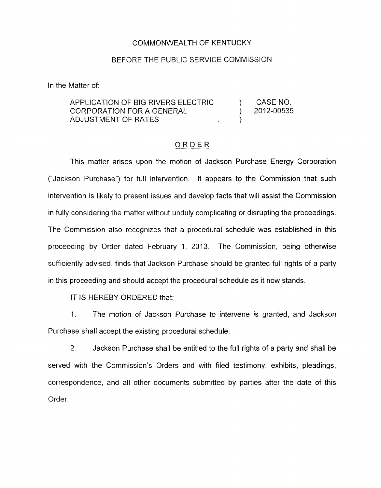## COMMONWEALTH OF KENTUCKY

## BEFORE THE PUBLIC SERVICE COMMISSION

In the Matter of:

## APPLICATION OF BIG RIVERS ELECTRIC ) CASENO. CORPORATION FOR A GENERAL ) 2012-00535 ADJUSTMENT OF RATES (ADJUSTMENT OF RATES

## ORDER

This matter arises upon the motion of Jackson Purchase Energy Corporation ("Jackson Purchase") for full intervention. It appears to the Commission that such intervention is likely to present issues and develop facts that will assist the Commission in fully considering the matter without unduly complicating or disrupting the proceedings. The Commission also recognizes that a procedural schedule was established in this proceeding by Order dated February 1, 2013. The Commission, being otherwise sufficiently advised, finds that Jackson Purchase should be granted full rights of a party in this proceeding and should accept the procedural schedule as it now stands.

IT IS HEREBY ORDERED that:

1. The motion of Jackson Purchase to intervene is granted, and Jackson Purchase shall accept the existing procedural schedule.

2. Jackson Purchase shall be entitled to the full rights of a party and shall be served with the Commission's Orders and with filed testimony, exhibits, pleadings, correspondence, and all other documents submitted by parties after the date of this Order.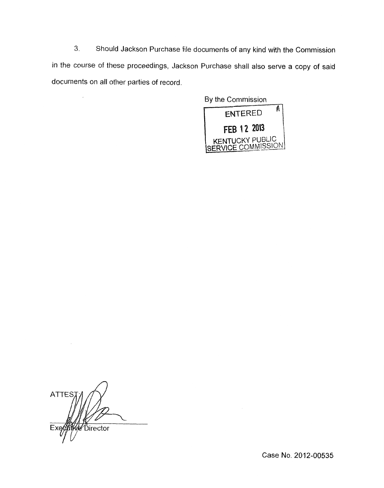**3.** Should Jackson Purchase file documents of any kind with the Commission in the course of these proceedings, Jackson Purchase shall also serve a copy of said documents on all other parties of record.



**ATTES** Director Exe

 $\overline{\phantom{a}}$ 

Case **No.** 2012-00535